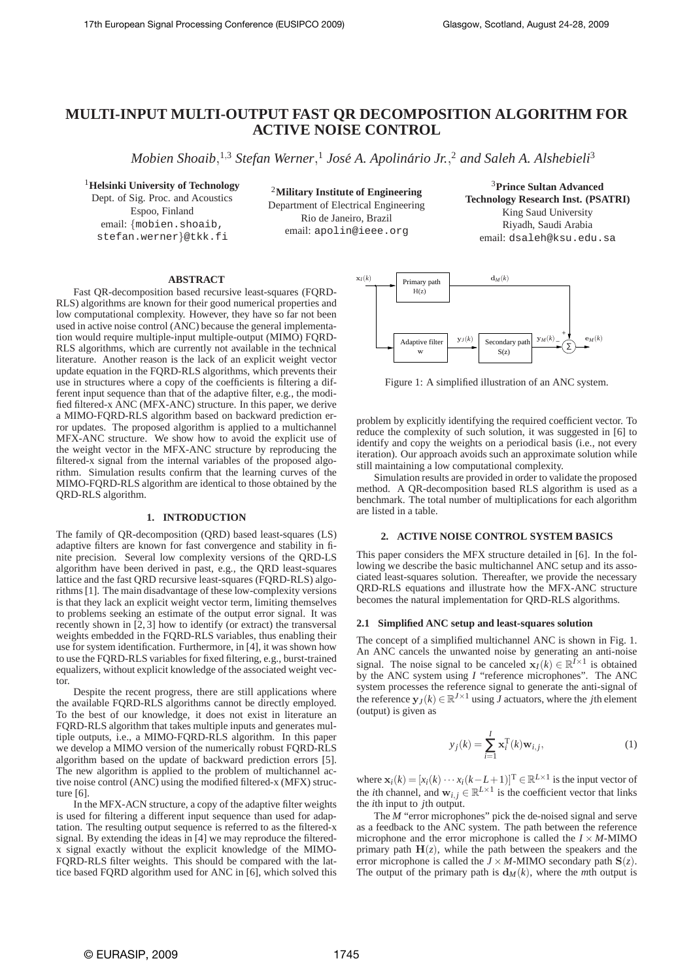# **MULTI-INPUT MULTI-OUTPUT FAST QR DECOMPOSITION ALGORITHM FOR ACTIVE NOISE CONTROL**

*Mobien Shoaib*, <sup>1</sup>,<sup>3</sup> *Stefan Werner*, 1 *Jose A. Apolin ´ ario Jr. ´* , <sup>2</sup> *and Saleh A. Alshebieli*<sup>3</sup>

<sup>1</sup>**Helsinki University of Technology** Dept. of Sig. Proc. and Acoustics Espoo, Finland email: {mobien.shoaib, stefan.werner}@tkk.fi

<sup>2</sup>**Military Institute of Engineering** Department of Electrical Engineering Rio de Janeiro, Brazil email: apolin@ieee.org

<sup>3</sup>**Prince Sultan Advanced Technology Research Inst. (PSATRI)** King Saud University Riyadh, Saudi Arabia email: dsaleh@ksu.edu.sa

# **ABSTRACT**

Fast QR-decomposition based recursive least-squares (FQRD-RLS) algorithms are known for their good numerical properties and low computational complexity. However, they have so far not been used in active noise control (ANC) because the general implementation would require multiple-input multiple-output (MIMO) FQRD-RLS algorithms, which are currently not available in the technical literature. Another reason is the lack of an explicit weight vector update equation in the FQRD-RLS algorithms, which prevents their use in structures where a copy of the coefficients is filtering a different input sequence than that of the adaptive filter, e.g., the modified filtered-x ANC (MFX-ANC) structure. In this paper, we derive a MIMO-FQRD-RLS algorithm based on backward prediction error updates. The proposed algorithm is applied to a multichannel MFX-ANC structure. We show how to avoid the explicit use of the weight vector in the MFX-ANC structure by reproducing the filtered-x signal from the internal variables of the proposed algorithm. Simulation results confirm that the learning curves of the MIMO-FQRD-RLS algorithm are identical to those obtained by the QRD-RLS algorithm.

## **1. INTRODUCTION**

The family of QR-decomposition (QRD) based least-squares (LS) adaptive filters are known for fast convergence and stability in finite precision. Several low complexity versions of the QRD-LS algorithm have been derived in past, e.g., the QRD least-squares lattice and the fast QRD recursive least-squares (FQRD-RLS) algorithms [1]. The main disadvantage of these low-complexity versions is that they lack an explicit weight vector term, limiting themselves to problems seeking an estimate of the output error signal. It was recently shown in  $[\tilde{2}, 3]$  how to identify (or extract) the transversal weights embedded in the FQRD-RLS variables, thus enabling their use for system identification. Furthermore, in [4], it was shown how to use the FQRD-RLS variables for fixed filtering, e.g., burst-trained equalizers, without explicit knowledge of the associated weight vector.

Despite the recent progress, there are still applications where the available FQRD-RLS algorithms cannot be directly employed. To the best of our knowledge, it does not exist in literature an FQRD-RLS algorithm that takes multiple inputs and generates multiple outputs, i.e., a MIMO-FQRD-RLS algorithm. In this paper we develop a MIMO version of the numerically robust FQRD-RLS algorithm based on the update of backward prediction errors [5]. The new algorithm is applied to the problem of multichannel active noise control (ANC) using the modified filtered-x (MFX) structure [6].

In the MFX-ACN structure, a copy of the adaptive filter weights is used for filtering a different input sequence than used for adaptation. The resulting output sequence is referred to as the filtered-x signal. By extending the ideas in [4] we may reproduce the filteredx signal exactly without the explicit knowledge of the MIMO-FQRD-RLS filter weights. This should be compared with the lattice based FQRD algorithm used for ANC in [6], which solved this



Figure 1: A simplified illustration of an ANC system.

problem by explicitly identifying the required coefficient vector. To reduce the complexity of such solution, it was suggested in [6] to identify and copy the weights on a periodical basis (i.e., not every iteration). Our approach avoids such an approximate solution while still maintaining a low computational complexity.

Simulation results are provided in order to validate the proposed method. A QR-decomposition based RLS algorithm is used as a benchmark. The total number of multiplications for each algorithm are listed in a table.

## **2. ACTIVE NOISE CONTROL SYSTEM BASICS**

This paper considers the MFX structure detailed in [6]. In the following we describe the basic multichannel ANC setup and its associated least-squares solution. Thereafter, we provide the necessary QRD-RLS equations and illustrate how the MFX-ANC structure becomes the natural implementation for QRD-RLS algorithms.

#### **2.1 Simplified ANC setup and least-squares solution**

The concept of a simplified multichannel ANC is shown in Fig. 1. An ANC cancels the unwanted noise by generating an anti-noise signal. The noise signal to be canceled  $\mathbf{x}_I(k) \in \mathbb{R}^{I \times 1}$  is obtained by the ANC system using *I* "reference microphones". The ANC system processes the reference signal to generate the anti-signal of the reference  $y_J(k) \in \mathbb{R}^{J \times 1}$  using *J* actuators, where the *j*th element (output) is given as

$$
y_j(k) = \sum_{i=1}^{I} \mathbf{x}_i^{\mathrm{T}}(k) \mathbf{w}_{i,j},
$$
 (1)

where  $\mathbf{x}_i(k) = [x_i(k) \cdots x_i(k-L+1)]^T \in \mathbb{R}^{L \times 1}$  is the input vector of the *i*th channel, and  $\mathbf{w}_{i,j} \in \mathbb{R}^{L \times 1}$  is the coefficient vector that links the *i*th input to *j*th output.

The *M* "error microphones" pick the de-noised signal and serve as a feedback to the ANC system. The path between the reference microphone and the error microphone is called the  $I \times M$ -MIMO primary path  $H(z)$ , while the path between the speakers and the error microphone is called the  $J \times M$ -MIMO secondary path  $S(z)$ . The output of the primary path is  $d_M(k)$ , where the *m*th output is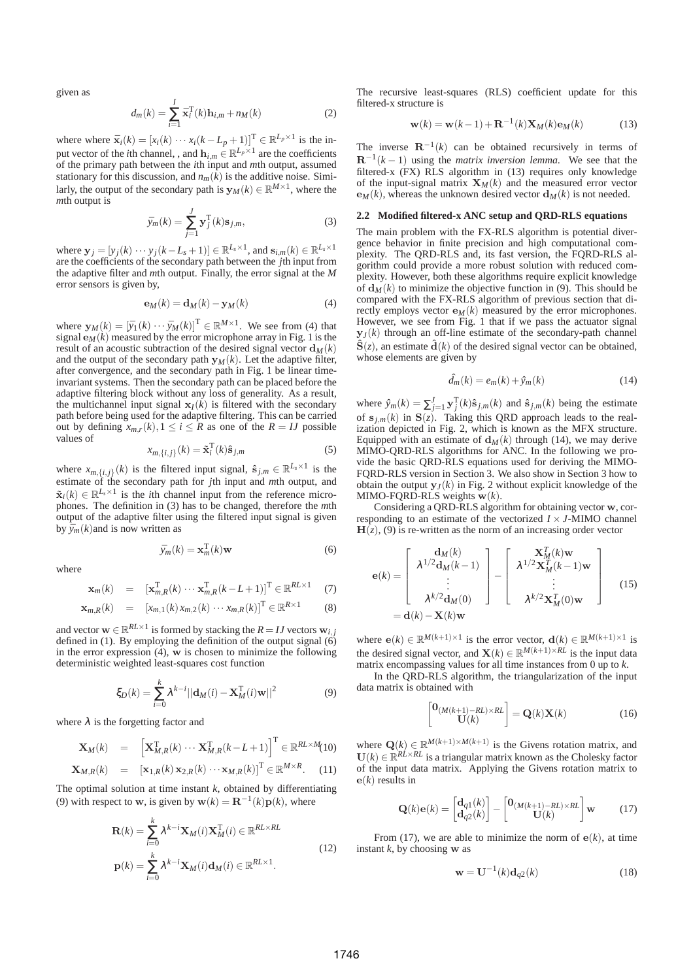given as

$$
d_m(k) = \sum_{i=1}^{I} \bar{\mathbf{x}}_i^{\mathrm{T}}(k) \mathbf{h}_{i,m} + n_M(k)
$$
 (2)

where where  $\bar{\mathbf{x}}_i(k) = [x_i(k) \cdots x_i(k - L_p + 1)]^T \in \mathbb{R}^{L_p \times 1}$  is the input vector of the *i*th channel, , and  $\mathbf{h}_{i,m} \in \mathbb{R}^{L_p \times 1}$  are the coefficients of the primary path between the *i*th input and *m*th output, assumed stationary for this discussion, and  $n_m(\tilde{k})$  is the additive noise. Similarly, the output of the secondary path is  $\mathbf{y}_M(k) \in \mathbb{R}^{M \times 1}$ , where the *mth* output is

$$
\bar{y}_m(k) = \sum_{j=1}^{J} \mathbf{y}_j^{\mathrm{T}}(k) \mathbf{s}_{j,m},\tag{3}
$$

where  $\mathbf{y}_j = [y_j(k) \cdots y_j(k-L_s+1)] \in \mathbb{R}^{L_s \times 1}$ , and  $\mathbf{s}_{i,m}(k) \in \mathbb{R}^{L_s \times 1}$ are the coefficients of the secondary path between the *j*th input from the adaptive filter and *m*th output. Finally, the error signal at the *M* error sensors is given by,

$$
\mathbf{e}_M(k) = \mathbf{d}_M(k) - \mathbf{y}_M(k) \tag{4}
$$

where  $\mathbf{y}_M(k) = [\bar{y}_1(k) \cdots \bar{y}_M(k)]^{\mathrm{T}} \in \mathbb{R}^{M \times 1}$ . We see from (4) that signal  $\mathbf{e}_M(k)$  measured by the error microphone array in Fig. 1 is the result of an acoustic subtraction of the desired signal vector  $\mathbf{d}_{M}(k)$ and the output of the secondary path  $y_M(k)$ . Let the adaptive filter, after convergence, and the secondary path in Fig. 1 be linear timeinvariant systems. Then the secondary path can be placed before the adaptive filtering block without any loss of generality. As a result, the multichannel input signal  $x<sub>I</sub>(k)$  is filtered with the secondary path before being used for the adaptive filtering. This can be carried out by defining  $x_{m,r}(k)$ ,  $1 \leq i \leq R$  as one of the  $R = IJ$  possible values of

$$
x_{m,\lbrace i,j\rbrace}(k) = \tilde{\mathbf{x}}_i^{\mathrm{T}}(k)\hat{\mathbf{s}}_{j,m}
$$
 (5)

where  $x_{m,\lbrace i,j \rbrace}(k)$  is the filtered input signal,  $\hat{\mathbf{s}}_{j,m} \in \mathbb{R}^{L_s \times 1}$  is the estimate of the secondary path for *j*th input and *m*th output, and  $\tilde{\mathbf{x}}_i(k) \in \mathbb{R}^{L_s \times 1}$  is the *i*th channel input from the reference microphones. The definition in (3) has to be changed, therefore the *m*th output of the adaptive filter using the filtered input signal is given by  $\bar{v}_m(k)$  and is now written as

$$
\bar{y}_m(k) = \mathbf{x}_m^{\mathrm{T}}(k)\mathbf{w}
$$
 (6)

where

$$
\mathbf{x}_{m}(k) = [\mathbf{x}_{m,R}^{\mathrm{T}}(k) \cdots \mathbf{x}_{m,R}^{\mathrm{T}}(k-L+1)]^{\mathrm{T}} \in \mathbb{R}^{RL \times 1} \quad (7)
$$

$$
\mathbf{x}_{m,R}(k) = [x_{m,1}(k)x_{m,2}(k) \cdots x_{m,R}(k)]^{T} \in \mathbb{R}^{R \times 1}
$$
 (8)

and vector  $\mathbf{w} \in \mathbb{R}^{RL \times 1}$  is formed by stacking the  $R = IJ$  vectors  $\mathbf{w}_{i,j}$ defined in (1). By employing the definition of the output signal  $\overrightarrow{6}$ in the error expression (4), w is chosen to minimize the following deterministic weighted least-squares cost function

$$
\xi_D(k) = \sum_{i=0}^{k} \lambda^{k-i} ||\mathbf{d}_M(i) - \mathbf{X}_M^{\mathrm{T}}(i)\mathbf{w}||^2
$$
 (9)

where  $\lambda$  is the forgetting factor and

$$
\mathbf{X}_{M}(k) = \begin{bmatrix} \mathbf{X}_{M,R}^{T}(k) \cdots \mathbf{X}_{M,R}^{T}(k-L+1) \end{bmatrix}^{T} \in \mathbb{R}^{RL \times M}(10)
$$

$$
\mathbf{X}_{M,R}(k) = [\mathbf{x}_{1,R}(k) \mathbf{x}_{2,R}(k) \cdots \mathbf{x}_{M,R}(k)]^{T} \in \mathbb{R}^{M \times R}. \quad (11)
$$

The optimal solution at time instant  $k$ , obtained by differentiating (9) with respect to **w**, is given by **w**( $k$ ) =  $\mathbf{R}^{-1}(k)\mathbf{p}(k)$ , where

$$
\mathbf{R}(k) = \sum_{i=0}^{k} \lambda^{k-i} \mathbf{X}_{M}(i) \mathbf{X}_{M}^{\mathrm{T}}(i) \in \mathbb{R}^{RL \times RL}
$$
\n
$$
\mathbf{p}(k) = \sum_{i=0}^{k} \lambda^{k-i} \mathbf{X}_{M}(i) \mathbf{d}_{M}(i) \in \mathbb{R}^{RL \times 1}.
$$
\n(12)

The recursive least-squares (RLS) coefficient update for this filtered-x structure is

$$
\mathbf{w}(k) = \mathbf{w}(k-1) + \mathbf{R}^{-1}(k)\mathbf{X}_M(k)\mathbf{e}_M(k)
$$
 (13)

The inverse  $\mathbf{R}^{-1}(k)$  can be obtained recursively in terms of  $\mathbf{R}^{-1}(k-1)$  using the *matrix inversion lemma*. We see that the filtered-x (FX) RLS algorithm in (13) requires only knowledge of the input-signal matrix  $\mathbf{X}_M(k)$  and the measured error vector  $\mathbf{e}_M(k)$ , whereas the unknown desired vector  $\mathbf{d}_M(k)$  is not needed.

## **2.2 Modified filtered-x ANC setup and QRD-RLS equations**

The main problem with the FX-RLS algorithm is potential divergence behavior in finite precision and high computational complexity. The QRD-RLS and, its fast version, the FQRD-RLS algorithm could provide a more robust solution with reduced complexity. However, both these algorithms require explicit knowledge of  $\mathbf{d}_M(k)$  to minimize the objective function in (9). This should be compared with the FX-RLS algorithm of previous section that directly employs vector  $\mathbf{e}_M(k)$  measured by the error microphones. However, we see from Fig. 1 that if we pass the actuator signal  $y_J(k)$  through an off-line estimate of the secondary-path channel  $\hat{\mathbf{S}}(z)$ , an estimate  $\hat{\mathbf{d}}(k)$  of the desired signal vector can be obtained, whose elements are given by

$$
\hat{d}_m(k) = e_m(k) + \hat{y}_m(k) \tag{14}
$$

where  $\hat{y}_m(k) = \sum_{j=1}^J \mathbf{y}_j^T(k)\hat{\mathbf{s}}_{j,m}(k)$  and  $\hat{\mathbf{s}}_{j,m}(k)$  being the estimate of  $s_{j,m}(k)$  in  $S(z)$ . Taking this QRD approach leads to the realization depicted in Fig. 2, which is known as the MFX structure. Equipped with an estimate of  $d_M(k)$  through (14), we may derive MIMO-QRD-RLS algorithms for ANC. In the following we provide the basic QRD-RLS equations used for deriving the MIMO-FQRD-RLS version in Section 3. We also show in Section 3 how to obtain the output  $y_J(k)$  in Fig. 2 without explicit knowledge of the MIMO-FQRD-RLS weights w(*k*).

Considering a QRD-RLS algorithm for obtaining vector w, corresponding to an estimate of the vectorized  $I \times J$ -MIMO channel  $H(z)$ , (9) is re-written as the norm of an increasing order vector

$$
\mathbf{e}(k) = \begin{bmatrix} \mathbf{d}_M(k) \\ \lambda^{1/2} \mathbf{d}_M(k-1) \\ \vdots \\ \lambda^{k/2} \mathbf{d}_M(0) \end{bmatrix} - \begin{bmatrix} \mathbf{X}_M^T(k) \mathbf{w} \\ \lambda^{1/2} \mathbf{X}_M^T(k-1) \mathbf{w} \\ \vdots \\ \lambda^{k/2} \mathbf{X}_M^T(0) \mathbf{w} \end{bmatrix}
$$
(15)

where  $e(k) \in \mathbb{R}^{M(k+1)\times 1}$  is the error vector,  $\mathbf{d}(k) \in \mathbb{R}^{M(k+1)\times 1}$  is the desired signal vector, and  $\mathbf{X}(k) \in \mathbb{R}^{M(k+1) \times RL}$  is the input data matrix encompassing values for all time instances from 0 up to *k*.

In the QRD-RLS algorithm, the triangularization of the input data matrix is obtained with

$$
\begin{bmatrix} \mathbf{0}_{(M(k+1)-RL)\times RL} \\ \mathbf{U}(k) \end{bmatrix} = \mathbf{Q}(k)\mathbf{X}(k)
$$
 (16)

where  $\mathbf{Q}(k) \in \mathbb{R}^{M(k+1) \times M(k+1)}$  is the Givens rotation matrix, and  $U(k) \in \mathbb{R}^{R\hat{L} \times R\hat{L}}$  is a triangular matrix known as the Cholesky factor of the input data matrix. Applying the Givens rotation matrix to  $e(k)$  results in

$$
\mathbf{Q}(k)\mathbf{e}(k) = \begin{bmatrix} \mathbf{d}_{q1}(k) \\ \mathbf{d}_{q2}(k) \end{bmatrix} - \begin{bmatrix} \mathbf{0}_{(M(k+1)-RL)\times RL} \\ \mathbf{U}(k) \end{bmatrix} \mathbf{w} \tag{17}
$$

From (17), we are able to minimize the norm of  $e(k)$ , at time instant  $k$ , by choosing  $w$  as

$$
\mathbf{w} = \mathbf{U}^{-1}(k)\mathbf{d}_{q2}(k) \tag{18}
$$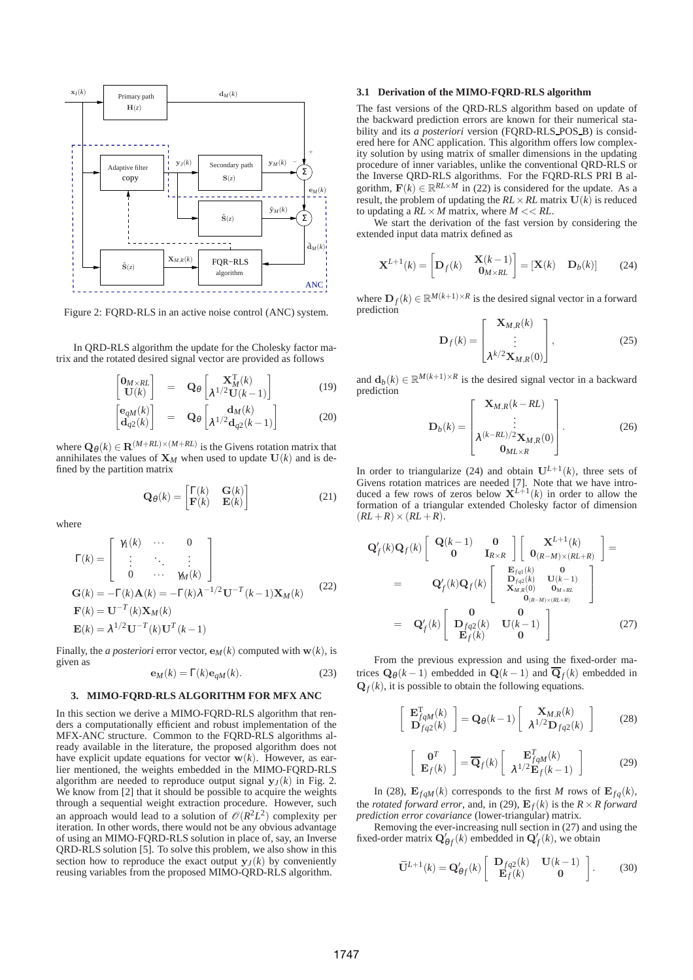

Figure 2: FQRD-RLS in an active noise control (ANC) system.

In QRD-RLS algorithm the update for the Cholesky factor matrix and the rotated desired signal vector are provided as follows

$$
\begin{bmatrix} \mathbf{0}_{M \times RL} \\ \mathbf{U}(k) \end{bmatrix} = \mathbf{Q}_{\theta} \begin{bmatrix} \mathbf{X}_{M}^{T}(k) \\ \lambda^{1/2} \mathbf{U}(k-1) \end{bmatrix}
$$
(19)

$$
\begin{bmatrix} \mathbf{e}_q \mathbf{M}(k) \\ \mathbf{d}_{q2}(k) \end{bmatrix} = \mathbf{Q}_{\theta} \begin{bmatrix} \mathbf{d}_{M}(k) \\ \lambda^{1/2} \mathbf{d}_{q2}(k-1) \end{bmatrix}
$$
 (20)

where  $\mathbf{Q}_{\theta}(k) \in \mathbf{R}^{(M+RL) \times (M+RL)}$  is the Givens rotation matrix that annihilates the values of  $X_M$  when used to update  $U(k)$  and is defined by the partition matrix

$$
\mathbf{Q}_{\theta}(k) = \begin{bmatrix} \Gamma(k) & \mathbf{G}(k) \\ \mathbf{F}(k) & \mathbf{E}(k) \end{bmatrix}
$$
 (21)

where

$$
\Gamma(k) = \begin{bmatrix} \gamma_1(k) & \cdots & 0 \\ \vdots & \ddots & \vdots \\ 0 & \cdots & \gamma_M(k) \end{bmatrix}
$$

$$
\mathbf{G}(k) = -\Gamma(k)\mathbf{A}(k) = -\Gamma(k)\lambda^{-1/2}\mathbf{U}^{-T}(k-1)\mathbf{X}_M(k)
$$

$$
\mathbf{F}(k) = \mathbf{U}^{-T}(k)\mathbf{X}_M(k)
$$

$$
\mathbf{E}(k) = \lambda^{1/2}\mathbf{U}^{-T}(k)\mathbf{U}^{T}(k-1)
$$
 (22)

Finally, the *a posteriori* error vector,  $\mathbf{e}_M(k)$  computed with  $\mathbf{w}(k)$ , is given as

$$
\mathbf{e}_M(k) = \Gamma(k)\mathbf{e}_{qM}(k). \tag{23}
$$

# **3. MIMO-FQRD-RLS ALGORITHM FOR MFX ANC**

In this section we derive a MIMO-FQRD-RLS algorithm that renders a computationally efficient and robust implementation of the MFX-ANC structure. Common to the FQRD-RLS algorithms already available in the literature, the proposed algorithm does not have explicit update equations for vector  $w(k)$ . However, as earlier mentioned, the weights embedded in the MIMO-FQRD-RLS algorithm are needed to reproduce output signal  $y_J(k)$  in Fig. 2. We know from [2] that it should be possible to acquire the weights through a sequential weight extraction procedure. However, such an approach would lead to a solution of  $\mathcal{O}(R^2L^2)$  complexity per iteration. In other words, there would not be any obvious advantage of using an MIMO-FQRD-RLS solution in place of, say, an Inverse QRD-RLS solution [5]. To solve this problem, we also show in this section how to reproduce the exact output  $y_J(k)$  by conveniently reusing variables from the proposed MIMO-QRD-RLS algorithm.

#### **3.1 Derivation of the MIMO-FQRD-RLS algorithm**

The fast versions of the QRD-RLS algorithm based on update of the backward prediction errors are known for their numerical stability and its *a posteriori* version (FORD-RLS\_POS\_B) is considered here for ANC application. This algorithm offers low complexity solution by using matrix of smaller dimensions in the updating procedure of inner variables, unlike the conventional QRD-RLS or the Inverse QRD-RLS algorithms. For the FQRD-RLS PRI B algorithm,  $\mathbf{F}(k) \in \mathbb{R}^{RL \times M}$  in (22) is considered for the update. As a result, the problem of updating the  $RL \times RL$  matrix  $U(k)$  is reduced to updating a  $RL \times M$  matrix, where  $M \ll RL$ .

We start the derivation of the fast version by considering the extended input data matrix defined as

$$
\mathbf{X}^{L+1}(k) = \begin{bmatrix} \mathbf{D}_f(k) & \mathbf{X}(k-1) \\ \mathbf{0}_{M \times RL} \end{bmatrix} = [\mathbf{X}(k) \quad \mathbf{D}_b(k)] \tag{24}
$$

where  $\mathbf{D}_f(k) \in \mathbb{R}^{M(k+1) \times R}$  is the desired signal vector in a forward prediction

$$
\mathbf{D}_f(k) = \begin{bmatrix} \mathbf{X}_{M,R}(k) \\ \vdots \\ \lambda^{k/2} \mathbf{X}_{M,R}(0) \end{bmatrix},
$$
(25)

and  $\mathbf{d}_b(k) \in \mathbb{R}^{M(k+1) \times R}$  is the desired signal vector in a backward prediction

$$
\mathbf{D}_{b}(k) = \begin{bmatrix} \mathbf{X}_{M,R}(k - RL) \\ \vdots \\ \lambda^{(k - RL)/2} \mathbf{X}_{M,R}(0) \\ \mathbf{0}_{M L \times R} \end{bmatrix} .
$$
 (26)

In order to triangularize (24) and obtain  $U^{L+1}(k)$ , three sets of Givens rotation matrices are needed [7]. Note that we have intro-<br>duced a few rows of zeros below  $X^{L+1}(k)$  in order to allow the formation of a triangular extended Cholesky factor of dimension  $(RL+R) \times (RL+R)$ .

$$
\mathbf{Q}'_f(k)\mathbf{Q}_f(k)\begin{bmatrix}\mathbf{Q}(k-1) & \mathbf{0} \\ \mathbf{0} & \mathbf{I}_{R\times R}\end{bmatrix}\begin{bmatrix}\mathbf{X}^{L+1}(k) \\ \mathbf{0}_{(R-M)\times (RL+R)} \end{bmatrix} = \n\mathbf{Q}'_f(k)\mathbf{Q}_f(k)\begin{bmatrix}\n\mathbf{E}_{fq1}(k) & \mathbf{0} \\
\mathbf{D}_{fq2}(k) & \mathbf{U}(k-1) \\
\mathbf{X}_{M,R}(0) & \mathbf{0}_{M\times RL} \\
\mathbf{0}_{(R-M)\times (RL+R)}\end{bmatrix} = \n\mathbf{Q}'_f(k)\begin{bmatrix}\n\mathbf{0} & \mathbf{0} \\
\mathbf{D}_{fq2}(k) & \mathbf{U}(k-1) \\
\mathbf{E}_f(k) & \mathbf{0}\n\end{bmatrix}
$$
\n(27)

From the previous expression and using the fixed-order matrices  $\mathbf{Q}_{\theta}(k-1)$  embedded in  $\mathbf{Q}(k-1)$  and  $\overline{\mathbf{Q}}_f(k)$  embedded in  $Q_f(k)$ , it is possible to obtain the following equations.

$$
\begin{bmatrix} \mathbf{E}_{fqM}^{\mathrm{T}}(k) \\ \mathbf{D}_{fq2}(k) \end{bmatrix} = \mathbf{Q}_{\theta}(k-1) \begin{bmatrix} \mathbf{X}_{M,R}(k) \\ \lambda^{1/2} \mathbf{D}_{fq2}(k) \end{bmatrix}
$$
 (28)

$$
\begin{bmatrix} \mathbf{0}^T \\ \mathbf{E}_f(k) \end{bmatrix} = \overline{\mathbf{Q}}_f(k) \begin{bmatrix} \mathbf{E}_{fqM}^T(k) \\ \lambda^{1/2} \mathbf{E}_f(k-1) \end{bmatrix}
$$
 (29)

In (28),  $\mathbf{E}_{faM}(k)$  corresponds to the first *M* rows of  $\mathbf{E}_{fa}(k)$ , the *rotated forward error*, and, in (29),  $E_f(k)$  is the  $R \times R$  forward *prediction error covariance* (lower-triangular) matrix.

Removing the ever-increasing null section in (27) and using the fixed-order matrix  $\mathbf{Q}'_{\theta f}(k)$  embedded in  $\mathbf{Q}'_f(k)$ , we obtain

$$
\mathbf{U}^{L+1}(k) = \mathbf{Q}'_{\theta f}(k) \begin{bmatrix} \mathbf{D}_{fq2}(k) & \mathbf{U}(k-1) \\ \mathbf{E}_{f}(k) & \mathbf{0} \end{bmatrix}.
$$
 (30)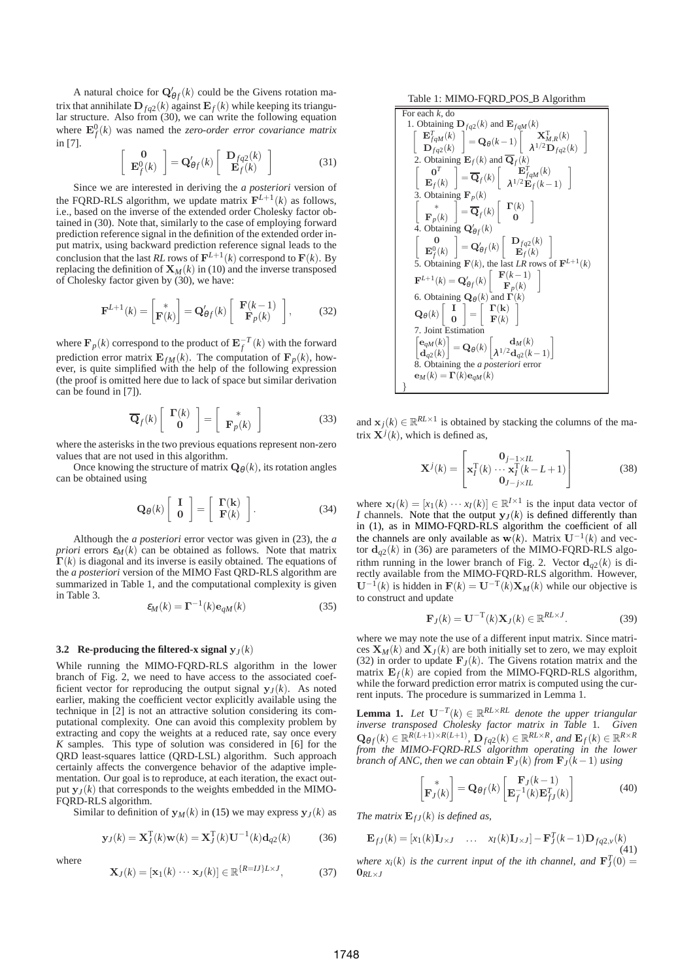A natural choice for  $\mathbf{Q}'_{\theta f}(k)$  could be the Givens rotation matrix that annihilate  $\mathbf{D}_{fq2}(k)$  against  $\mathbf{E}_f(k)$  while keeping its triangular structure. Also from (30), we can write the following equation where  $\mathbf{E}_f^0(k)$  was named the *zero-order error covariance matrix* in [7].

$$
\left[\begin{array}{c} \mathbf{0} \\ \mathbf{E}_f^0(k) \end{array}\right] = \mathbf{Q}_{\theta f}'(k) \left[\begin{array}{c} \mathbf{D}_{fq2}(k) \\ \mathbf{E}_f(k) \end{array}\right] \tag{31}
$$

Since we are interested in deriving the *a posteriori* version of the FQRD-RLS algorithm, we update matrix  $\mathbf{F}^{L+1}(k)$  as follows, i.e., based on the inverse of the extended order Cholesky factor obtained in (30). Note that, similarly to the case of employing forward prediction reference signal in the definition of the extended order input matrix, using backward prediction reference signal leads to the conclusion that the last *RL* rows of  $\mathbf{F}^{L+1}(k)$  correspond to  $\mathbf{F}(k)$ . By replacing the definition of  $X_M(k)$  in (10) and the inverse transposed of Cholesky factor given by (30), we have:

$$
\mathbf{F}^{L+1}(k) = \begin{bmatrix} * \\ \mathbf{F}(k) \end{bmatrix} = \mathbf{Q}'_{\theta f}(k) \begin{bmatrix} \mathbf{F}(k-1) \\ \mathbf{F}_p(k) \end{bmatrix},
$$
(32)

where  $\mathbf{F}_p(k)$  correspond to the product of  $\mathbf{E}_f^{-T}(k)$  with the forward prediction error matrix  $\mathbf{E}_{f,M}(k)$ . The computation of  $\mathbf{F}_p(k)$ , however, is quite simplified with the help of the following expression (the proof is omitted here due to lack of space but similar derivation can be found in [7]).

$$
\overline{\mathbf{Q}}_f(k) \left[ \begin{array}{c} \mathbf{\Gamma}(k) \\ \mathbf{0} \end{array} \right] = \left[ \begin{array}{c} * \\ \mathbf{F}_p(k) \end{array} \right] \tag{33}
$$

where the asterisks in the two previous equations represent non-zero values that are not used in this algorithm.

Once knowing the structure of matrix  $\mathbf{Q}_{\theta}(k)$ , its rotation angles can be obtained using

$$
\mathbf{Q}_{\theta}(k) \left[ \begin{array}{c} \mathbf{I} \\ \mathbf{0} \end{array} \right] = \left[ \begin{array}{c} \mathbf{\Gamma}(k) \\ \mathbf{F}(k) \end{array} \right]. \tag{34}
$$

Although the *a posteriori* error vector was given in (23), the *a priori* errors  $\varepsilon_M(k)$  can be obtained as follows. Note that matrix  $\Gamma(k)$  is diagonal and its inverse is easily obtained. The equations of the *a posteriori* version of the MIMO Fast QRD-RLS algorithm are summarized in Table 1, and the computational complexity is given in Table 3.

$$
\varepsilon_M(k) = \Gamma^{-1}(k) \mathbf{e}_{qM}(k) \tag{35}
$$

#### **3.2** Re-producing the filtered-x signal  $y_J(k)$

While running the MIMO-FQRD-RLS algorithm in the lower branch of Fig. 2, we need to have access to the associated coefficient vector for reproducing the output signal  $y_J(k)$ . As noted earlier, making the coefficient vector explicitly available using the technique in [2] is not an attractive solution considering its computational complexity. One can avoid this complexity problem by extracting and copy the weights at a reduced rate, say once every *K* samples. This type of solution was considered in [6] for the QRD least-squares lattice (QRD-LSL) algorithm. Such approach certainly affects the convergence behavior of the adaptive implementation. Our goal is to reproduce, at each iteration, the exact output  $y<sub>J</sub>(k)$  that corresponds to the weights embedded in the MIMO-FQRD-RLS algorithm.

Similar to definition of  $y_M(k)$  in (15) we may express  $y_J(k)$  as

$$
\mathbf{y}_J(k) = \mathbf{X}_J^{\mathrm{T}}(k)\mathbf{w}(k) = \mathbf{X}_J^{\mathrm{T}}(k)\mathbf{U}^{-1}(k)\mathbf{d}_{q2}(k)
$$
 (36)

where

$$
\mathbf{X}_J(k) = [\mathbf{x}_1(k) \cdots \mathbf{x}_J(k)] \in \mathbb{R}^{\{R=IJ\}L \times J},\tag{37}
$$

Table 1: MIMO-FORD POS B Algorithm

For each *k*, do  
\n1. obtaining 
$$
\mathbf{D}_{fq2}(k)
$$
 and  $\mathbf{E}_{fqM}(k)$   
\n
$$
\begin{bmatrix}\n\mathbf{E}_{fq}^T(k) \\
\mathbf{D}_{fq2}(k)\n\end{bmatrix} = \mathbf{Q}_{\theta}(k-1) \begin{bmatrix}\n\mathbf{X}_{M,R}^T(k) \\
\lambda^{1/2}\mathbf{D}_{fq2}(k)\n\end{bmatrix}
$$
\n2. obtaining  $\mathbf{E}_f(k)$  and  $\overline{\mathbf{Q}}_f(k)$   
\n
$$
\begin{bmatrix}\n\mathbf{0}^T \\
\mathbf{E}_f(k)\n\end{bmatrix} = \overline{\mathbf{Q}}_f(k) \begin{bmatrix}\n\mathbf{E}_{fqM}^T(k) \\
\lambda^{1/2}\mathbf{E}_{f}(k-1)\n\end{bmatrix}
$$
\n3. obtaining  $\mathbf{F}_p(k)$   
\n
$$
\begin{bmatrix}\n\mathbf{*} \\
\mathbf{F}_p(k)\n\end{bmatrix} = \overline{\mathbf{Q}}_f(k) \begin{bmatrix}\n\mathbf{T}(k) \\
\mathbf{0}\n\end{bmatrix}
$$
\n4. Obtaining  $\mathbf{Q}_{\theta f}(k)$   
\n
$$
\begin{bmatrix}\n\mathbf{0} \\
\mathbf{E}_f^0(k)\n\end{bmatrix} = \mathbf{Q}_{\theta f}^{\prime}(k) \begin{bmatrix}\n\mathbf{D}_{fq2}(k) \\
\mathbf{E}_{f}(k)\n\end{bmatrix}
$$
\n5. Obtaining  $\mathbf{F}(k)$ , the last LR rows of  $\mathbf{F}^{L+1}(k)$   
\n $\mathbf{F}^{L+1}(k) = \mathbf{Q}_{\theta f}(k) \begin{bmatrix}\n\mathbf{F}(k-1) \\
\mathbf{F}_p(k)\n\end{bmatrix}$ \n6. Obtaining  $\mathbf{Q}_{\theta}(k)$  and  $\mathbf{T}(k)$   
\n $\mathbf{Q}_{\theta}(k) \begin{bmatrix}\n\mathbf{I} \\
\mathbf{I}\n\end{bmatrix} = \begin{bmatrix}\n\mathbf{T}(\mathbf{k}) \\
\mathbf{F}(\mathbf{k})\n\end{bmatrix}$ \n7. Joint Estimation  
\n
$$
\begin{bmatrix}\n\mathbf{e}_{qM}(k) \\
\mathbf{d}_{q
$$

and  $\mathbf{x}_j(k) \in \mathbb{R}^{RL \times 1}$  is obtained by stacking the columns of the matrix  $\mathbf{X}^j(k)$ , which is defined as,

$$
\mathbf{X}^{j}(k) = \begin{bmatrix} \mathbf{0}_{j-1 \times IL} \\ \mathbf{x}_{I}^{T}(k) \cdots \mathbf{x}_{I}^{T}(k-L+1) \\ \mathbf{0}_{J-j \times IL} \end{bmatrix}
$$
(38)

where  $\mathbf{x}_I(k) = [x_1(k) \cdots x_I(k)] \in \mathbb{R}^{I \times 1}$  is the input data vector of *I* channels. Note that the output  $y_J(k)$  is defined differently than in (1), as in MIMO-FQRD-RLS algorithm the coefficient of all the channels are only available as  $w(k)$ . Matrix  $U^{-1}(k)$  and vector  $\mathbf{d}_{q2}(k)$  in (36) are parameters of the MIMO-FQRD-RLS algorithm running in the lower branch of Fig. 2. Vector  $\mathbf{d}_{q2}(k)$  is directly available from the MIMO-FQRD-RLS algorithm. However,  $U^{-1}(k)$  is hidden in  $F(k) = U^{-T}(k)X_M(k)$  while our objective is to construct and update

$$
\mathbf{F}_J(k) = \mathbf{U}^{-T}(k)\mathbf{X}_J(k) \in \mathbb{R}^{RL \times J}.
$$
 (39)

where we may note the use of a different input matrix. Since matrices  $\mathbf{X}_M(k)$  and  $\mathbf{X}_I(k)$  are both initially set to zero, we may exploit (32) in order to update  $\mathbf{F}_J(k)$ . The Givens rotation matrix and the matrix  $\mathbf{E}_f(k)$  are copied from the MIMO-FQRD-RLS algorithm, while the forward prediction error matrix is computed using the current inputs. The procedure is summarized in Lemma 1.

**Lemma 1.** *Let*  $\mathbf{U}^{-T}(k)$  ∈  $\mathbb{R}^{RL \times RL}$  *denote the upper triangular inverse transposed Cholesky factor matrix in Table* 1*. Given*  $\mathbf{Q}_{\theta f}(k) \in \mathbb{R}^{R(L+1) \times R(L+1)}$ ,  $\mathbf{D}_{fq2}(k) \in \mathbb{R}^{RL \times R}$ , and  $\mathbf{E}_{f}(k) \in \mathbb{R}^{R \times R}$ *from the MIMO-FQRD-RLS algorithm operating in the lower branch of ANC, then we can obtain*  $\mathbf{F}_J(k)$  *from*  $\mathbf{F}_J(k-1)$  *using* 

$$
\begin{bmatrix} * \\ \mathbf{F}_J(k) \end{bmatrix} = \mathbf{Q}_{\theta f}(k) \begin{bmatrix} \mathbf{F}_J(k-1) \\ \mathbf{E}_f^{-1}(k) \mathbf{E}_{fJ}^T(k) \end{bmatrix}
$$
(40)

*The matrix*  $\mathbf{E}_{fJ}(k)$  *is defined as,* 

$$
\mathbf{E}_{fJ}(k) = [x_1(k)\mathbf{I}_{J \times J} \quad \dots \quad x_I(k)\mathbf{I}_{J \times J}] - \mathbf{F}_J^T(k-1)\mathbf{D}_{fq2,\nu}(k)
$$
\n(41)

*where*  $x_i(k)$  *is the current input of the ith channel, and*  $\mathbf{F}_J^T(0) =$  $0<sub>RI</sub>$ <sup>V</sup>